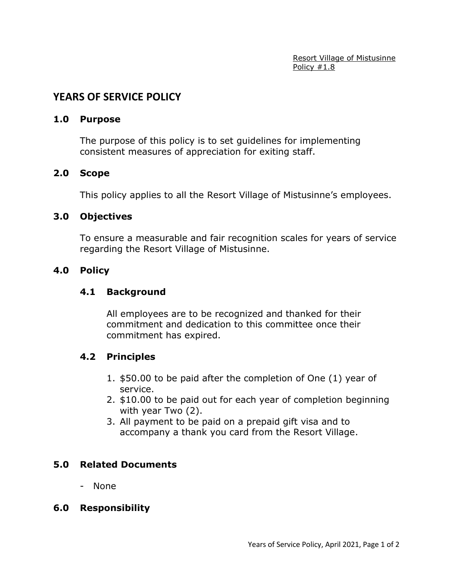Resort Village of Mistusinne Policy #1.8

# **YEARS OF SERVICE POLICY**

### **1.0 Purpose**

The purpose of this policy is to set guidelines for implementing consistent measures of appreciation for exiting staff.

#### **2.0 Scope**

This policy applies to all the Resort Village of Mistusinne's employees.

### **3.0 Objectives**

To ensure a measurable and fair recognition scales for years of service regarding the Resort Village of Mistusinne.

### **4.0 Policy**

## **4.1 Background**

All employees are to be recognized and thanked for their commitment and dedication to this committee once their commitment has expired.

### **4.2 Principles**

- 1. \$50.00 to be paid after the completion of One (1) year of service.
- 2. \$10.00 to be paid out for each year of completion beginning with year Two (2).
- 3. All payment to be paid on a prepaid gift visa and to accompany a thank you card from the Resort Village.

### **5.0 Related Documents**

- None

### **6.0 Responsibility**